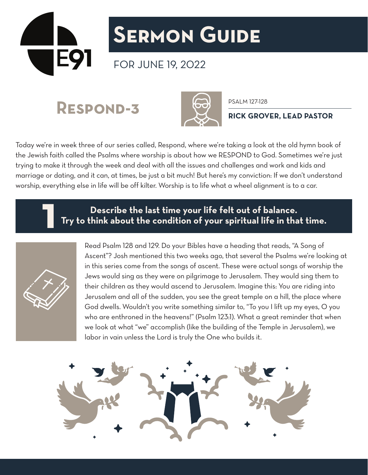

## **Sermon Guide**

## FOR JUNE 19, 2022

RESPOND-3 60 PSALM 127-128



**RICK GROVER, LEAD PASTOR**

Today we're in week three of our series called, Respond, where we're taking a look at the old hymn book of the Jewish faith called the Psalms where worship is about how we RESPOND to God. Sometimes we're just trying to make it through the week and deal with all the issues and challenges and work and kids and marriage or dating, and it can, at times, be just a bit much! But here's my conviction: If we don't understand worship, everything else in life will be off kilter. Worship is to life what a wheel alignment is to a car.

**Describe the last time your life felt out of balance. 1 Try to think about the condition of your spiritual life in that time.**



Read Psalm 128 and 129. Do your Bibles have a heading that reads, "A Song of Ascent"? Josh mentioned this two weeks ago, that several the Psalms we're looking at in this series come from the songs of ascent. These were actual songs of worship the Jews would sing as they were on pilgrimage to Jerusalem. They would sing them to their children as they would ascend to Jerusalem. Imagine this: You are riding into Jerusalem and all of the sudden, you see the great temple on a hill, the place where God dwells. Wouldn't you write something similar to, "To you I lift up my eyes, O you who are enthroned in the heavens!" (Psalm 123:1). What a great reminder that when we look at what "we" accomplish (like the building of the Temple in Jerusalem), we labor in vain unless the Lord is truly the One who builds it.